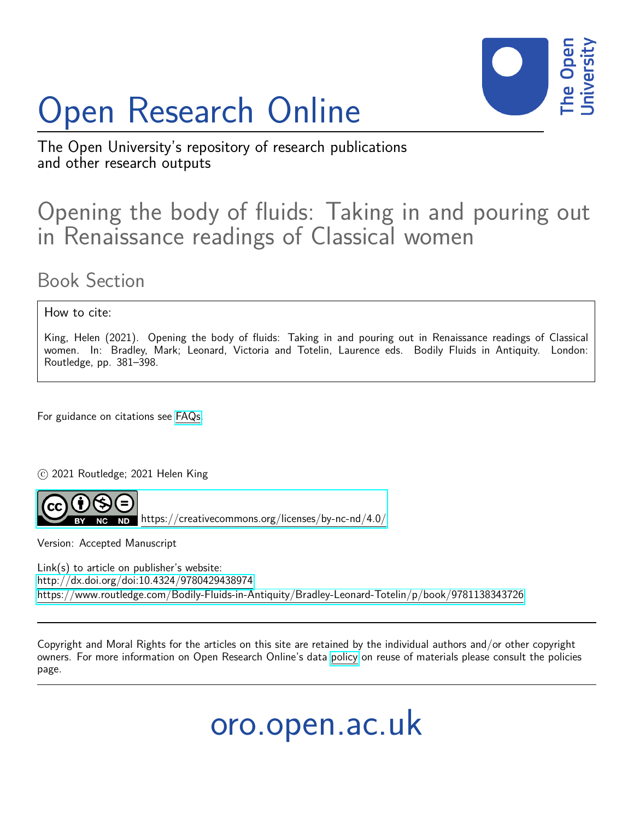# Open Research Online



The Open University's repository of research publications and other research outputs

## Opening the body of fluids: Taking in and pouring out in Renaissance readings of Classical women

### Book Section

#### How to cite:

King, Helen (2021). Opening the body of fluids: Taking in and pouring out in Renaissance readings of Classical women. In: Bradley, Mark; Leonard, Victoria and Totelin, Laurence eds. Bodily Fluids in Antiquity. London: Routledge, pp. 381–398.

For guidance on citations see [FAQs.](http://oro.open.ac.uk/help/helpfaq.html)

c 2021 Routledge; 2021 Helen King



Version: Accepted Manuscript

Link(s) to article on publisher's website: <http://dx.doi.org/doi:10.4324/9780429438974> <https://www.routledge.com/Bodily-Fluids-in-Antiquity/Bradley-Leonard-Totelin/p/book/9781138343726>

Copyright and Moral Rights for the articles on this site are retained by the individual authors and/or other copyright owners. For more information on Open Research Online's data [policy](http://oro.open.ac.uk/policies.html) on reuse of materials please consult the policies page.

oro.open.ac.uk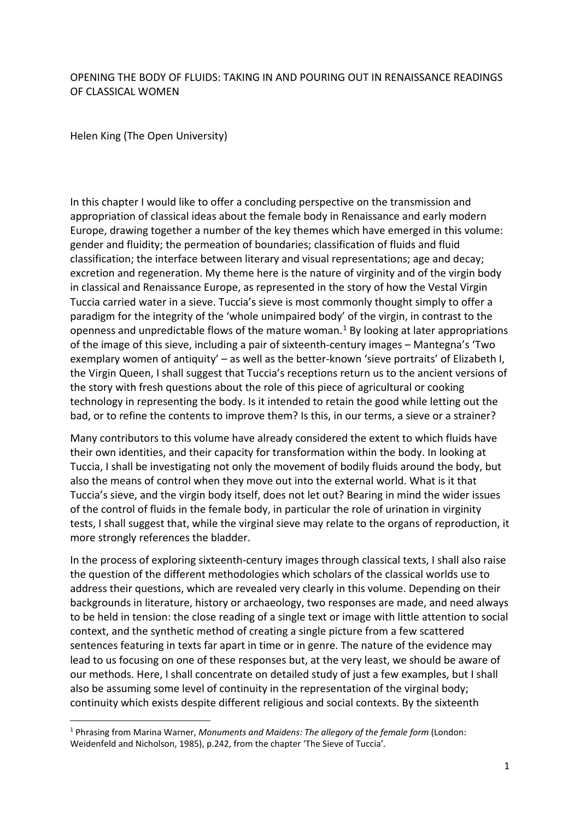#### OPENING THE BODY OF FLUIDS: TAKING IN AND POURING OUT IN RENAISSANCE READINGS OF CLASSICAL WOMEN

Helen King (The Open University)

In this chapter I would like to offer a concluding perspective on the transmission and appropriation of classical ideas about the female body in Renaissance and early modern Europe, drawing together a number of the key themes which have emerged in this volume: gender and fluidity; the permeation of boundaries; classification of fluids and fluid classification; the interface between literary and visual representations; age and decay; excretion and regeneration. My theme here is the nature of virginity and of the virgin body in classical and Renaissance Europe, as represented in the story of how the Vestal Virgin Tuccia carried water in a sieve. Tuccia's sieve is most commonly thought simply to offer a paradigm for the integrity of the 'whole unimpaired body' of the virgin, in contrast to the openness and unpredictable flows of the mature woman.<sup>[1](#page-1-0)</sup> By looking at later appropriations of the image of this sieve, including a pair of sixteenth-century images – Mantegna's 'Two exemplary women of antiquity' – as well as the better-known 'sieve portraits' of Elizabeth I, the Virgin Queen, I shall suggest that Tuccia's receptions return us to the ancient versions of the story with fresh questions about the role of this piece of agricultural or cooking technology in representing the body. Is it intended to retain the good while letting out the bad, or to refine the contents to improve them? Is this, in our terms, a sieve or a strainer?

Many contributors to this volume have already considered the extent to which fluids have their own identities, and their capacity for transformation within the body. In looking at Tuccia, I shall be investigating not only the movement of bodily fluids around the body, but also the means of control when they move out into the external world. What is it that Tuccia's sieve, and the virgin body itself, does not let out? Bearing in mind the wider issues of the control of fluids in the female body, in particular the role of urination in virginity tests, I shall suggest that, while the virginal sieve may relate to the organs of reproduction, it more strongly references the bladder.

In the process of exploring sixteenth-century images through classical texts, I shall also raise the question of the different methodologies which scholars of the classical worlds use to address their questions, which are revealed very clearly in this volume. Depending on their backgrounds in literature, history or archaeology, two responses are made, and need always to be held in tension: the close reading of a single text or image with little attention to social context, and the synthetic method of creating a single picture from a few scattered sentences featuring in texts far apart in time or in genre. The nature of the evidence may lead to us focusing on one of these responses but, at the very least, we should be aware of our methods. Here, I shall concentrate on detailed study of just a few examples, but I shall also be assuming some level of continuity in the representation of the virginal body; continuity which exists despite different religious and social contexts. By the sixteenth

<span id="page-1-0"></span><sup>1</sup> Phrasing from Marina Warner, *Monuments and Maidens: The allegory of the female form* (London: Weidenfeld and Nicholson, 1985), p.242, from the chapter 'The Sieve of Tuccia'.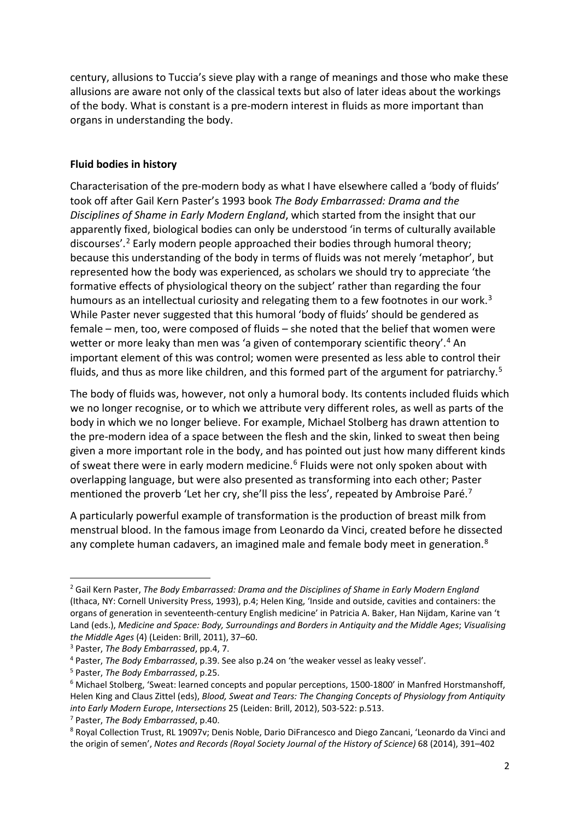century, allusions to Tuccia's sieve play with a range of meanings and those who make these allusions are aware not only of the classical texts but also of later ideas about the workings of the body. What is constant is a pre-modern interest in fluids as more important than organs in understanding the body.

#### **Fluid bodies in history**

Characterisation of the pre-modern body as what I have elsewhere called a 'body of fluids' took off after Gail Kern Paster's 1993 book *The Body Embarrassed: Drama and the Disciplines of Shame in Early Modern England*, which started from the insight that our apparently fixed, biological bodies can only be understood 'in terms of culturally available discourses'. [2](#page-2-0) Early modern people approached their bodies through humoral theory; because this understanding of the body in terms of fluids was not merely 'metaphor', but represented how the body was experienced, as scholars we should try to appreciate 'the formative effects of physiological theory on the subject' rather than regarding the four humours as an intellectual curiosity and relegating them to a few footnotes in our work.<sup>[3](#page-2-1)</sup> While Paster never suggested that this humoral 'body of fluids' should be gendered as female – men, too, were composed of fluids – she noted that the belief that women were wetter or more leaky than men was 'a given of contemporary scientific theory'.<sup>[4](#page-2-2)</sup> An important element of this was control; women were presented as less able to control their fluids, and thus as more like children, and this formed part of the argument for patriarchy.<sup>[5](#page-2-3)</sup>

The body of fluids was, however, not only a humoral body. Its contents included fluids which we no longer recognise, or to which we attribute very different roles, as well as parts of the body in which we no longer believe. For example, Michael Stolberg has drawn attention to the pre-modern idea of a space between the flesh and the skin, linked to sweat then being given a more important role in the body, and has pointed out just how many different kinds of sweat there were in early modern medicine.<sup>[6](#page-2-4)</sup> Fluids were not only spoken about with overlapping language, but were also presented as transforming into each other; Paster mentioned the proverb 'Let her cry, she'll piss the less', repeated by Ambroise Paré.<sup>[7](#page-2-5)</sup>

A particularly powerful example of transformation is the production of breast milk from menstrual blood. In the famous image from Leonardo da Vinci, created before he dissected any complete human cadavers, an imagined male and female body meet in generation.<sup>[8](#page-2-6)</sup>

<span id="page-2-0"></span><sup>2</sup> Gail Kern Paster, *The Body Embarrassed: Drama and the Disciplines of Shame in Early Modern England* (Ithaca, NY: Cornell University Press, 1993), p.4; Helen King, 'Inside and outside, cavities and containers: the organs of generation in seventeenth-century English medicine' in Patricia A. Baker, Han Nijdam, Karine van 't Land (eds.), *Medicine and Space: Body, Surroundings and Borders in Antiquity and the Middle Ages*; *Visualising the Middle Ages* (4) (Leiden: Brill, 2011), 37–60.

<span id="page-2-1"></span><sup>3</sup> Paster, *The Body Embarrassed*, pp.4, 7.

<span id="page-2-2"></span><sup>4</sup> Paster, *The Body Embarrassed*, p.39. See also p.24 on 'the weaker vessel as leaky vessel'.

<span id="page-2-3"></span><sup>5</sup> Paster, *The Body Embarrassed*, p.25.

<span id="page-2-4"></span> $6$  Michael Stolberg, 'Sweat: learned concepts and popular perceptions, 1500-1800' in Manfred Horstmanshoff, Helen King and Claus Zittel (eds), *Blood, Sweat and Tears: The Changing Concepts of Physiology from Antiquity into Early Modern Europe*, *Intersections* 25 (Leiden: Brill, 2012), 503-522: p.513.

<span id="page-2-5"></span><sup>7</sup> Paster, *The Body Embarrassed*, p.40.

<span id="page-2-6"></span><sup>8</sup> Royal Collection Trust, RL 19097v; Denis Noble, Dario DiFrancesco and Diego Zancani, 'Leonardo da Vinci and the origin of semen', *Notes and Records (Royal Society Journal of the History of Science)* 68 (2014), 391–402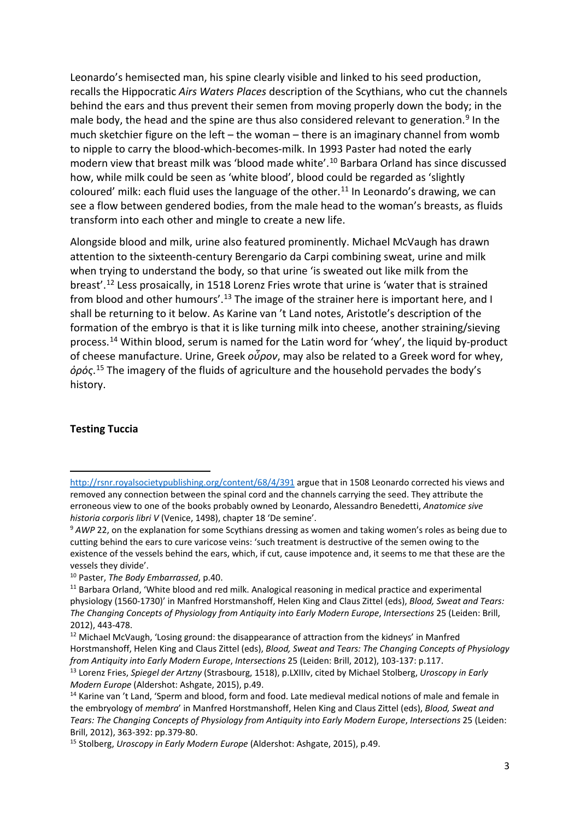Leonardo's hemisected man, his spine clearly visible and linked to his seed production, recalls the Hippocratic *Airs Waters Places* description of the Scythians, who cut the channels behind the ears and thus prevent their semen from moving properly down the body; in the male body, the head and the spine are thus also considered relevant to generation.<sup>[9](#page-3-0)</sup> In the much sketchier figure on the left – the woman – there is an imaginary channel from womb to nipple to carry the blood-which-becomes-milk. In 1993 Paster had noted the early modern view that breast milk was 'blood made white'[.10](#page-3-1) Barbara Orland has since discussed how, while milk could be seen as 'white blood', blood could be regarded as 'slightly coloured' milk: each fluid uses the language of the other.<sup>[11](#page-3-2)</sup> In Leonardo's drawing, we can see a flow between gendered bodies, from the male head to the woman's breasts, as fluids transform into each other and mingle to create a new life.

Alongside blood and milk, urine also featured prominently. Michael McVaugh has drawn attention to the sixteenth-century Berengario da Carpi combining sweat, urine and milk when trying to understand the body, so that urine 'is sweated out like milk from the breast'.[12](#page-3-3) Less prosaically, in 1518 Lorenz Fries wrote that urine is 'water that is strained from blood and other humours'.<sup>[13](#page-3-4)</sup> The image of the strainer here is important here, and I shall be returning to it below. As Karine van 't Land notes, Aristotle's description of the formation of the embryo is that it is like turning milk into cheese, another straining/sieving process. [14](#page-3-5) Within blood, serum is named for the Latin word for 'whey', the liquid by-product of cheese manufacture. Urine, Greek *οὖρον*, may also be related to a Greek word for whey, *ὀρός*. [15](#page-3-6) The imagery of the fluids of agriculture and the household pervades the body's history.

#### **Testing Tuccia**

<http://rsnr.royalsocietypublishing.org/content/68/4/391> argue that in 1508 Leonardo corrected his views and removed any connection between the spinal cord and the channels carrying the seed. They attribute the erroneous view to one of the books probably owned by Leonardo, Alessandro Benedetti, *Anatomice sive historia corporis libri V* (Venice, 1498), chapter 18 'De semine'.

<span id="page-3-0"></span><sup>9</sup> *AWP* 22, on the explanation for some Scythians dressing as women and taking women's roles as being due to cutting behind the ears to cure varicose veins: 'such treatment is destructive of the semen owing to the existence of the vessels behind the ears, which, if cut, cause impotence and, it seems to me that these are the vessels they divide'.

<span id="page-3-1"></span><sup>10</sup> Paster, *The Body Embarrassed*, p.40.

<span id="page-3-2"></span><sup>&</sup>lt;sup>11</sup> Barbara Orland, 'White blood and red milk. Analogical reasoning in medical practice and experimental physiology (1560-1730)' in Manfred Horstmanshoff, Helen King and Claus Zittel (eds), *Blood, Sweat and Tears: The Changing Concepts of Physiology from Antiquity into Early Modern Europe*, *Intersections* 25 (Leiden: Brill, 2012), 443-478.

<span id="page-3-3"></span> $12$  Michael McVaugh, 'Losing ground: the disappearance of attraction from the kidneys' in Manfred Horstmanshoff, Helen King and Claus Zittel (eds), *Blood, Sweat and Tears: The Changing Concepts of Physiology from Antiquity into Early Modern Europe*, *Intersections* 25 (Leiden: Brill, 2012), 103-137: p.117.

<span id="page-3-4"></span><sup>13</sup> Lorenz Fries, *Spiegel der Artzny* (Strasbourg, 1518), p.LXIIIv, cited by Michael Stolberg, *Uroscopy in Early Modern Europe* (Aldershot: Ashgate, 2015), p.49.

<span id="page-3-5"></span><sup>&</sup>lt;sup>14</sup> Karine van 't Land, 'Sperm and blood, form and food. Late medieval medical notions of male and female in the embryology of *membra*' in Manfred Horstmanshoff, Helen King and Claus Zittel (eds), *Blood, Sweat and Tears: The Changing Concepts of Physiology from Antiquity into Early Modern Europe*, *Intersections* 25 (Leiden: Brill, 2012), 363-392: pp.379-80.

<span id="page-3-6"></span><sup>15</sup> Stolberg, *Uroscopy in Early Modern Europe* (Aldershot: Ashgate, 2015), p.49.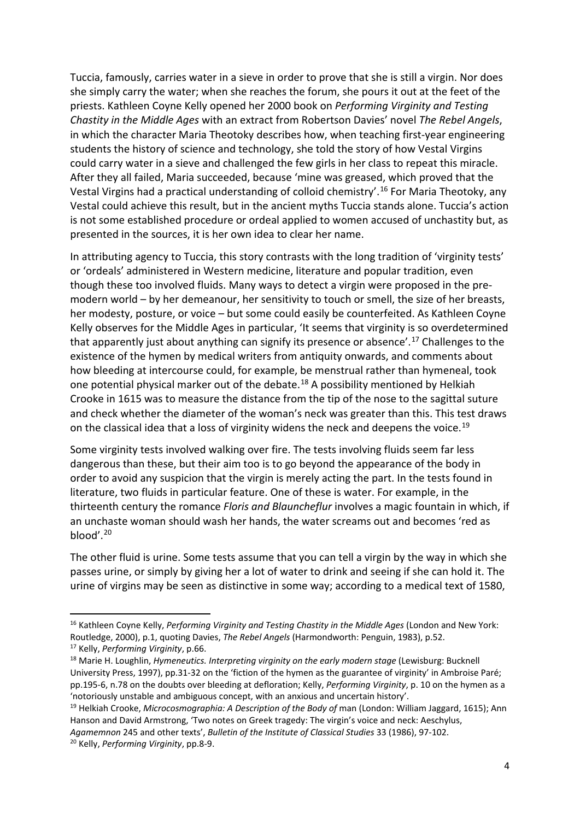Tuccia, famously, carries water in a sieve in order to prove that she is still a virgin. Nor does she simply carry the water; when she reaches the forum, she pours it out at the feet of the priests. Kathleen Coyne Kelly opened her 2000 book on *Performing Virginity and Testing Chastity in the Middle Ages* with an extract from Robertson Davies' novel *The Rebel Angels*, in which the character Maria Theotoky describes how, when teaching first-year engineering students the history of science and technology, she told the story of how Vestal Virgins could carry water in a sieve and challenged the few girls in her class to repeat this miracle. After they all failed, Maria succeeded, because 'mine was greased, which proved that the Vestal Virgins had a practical understanding of colloid chemistry'.[16](#page-4-0) For Maria Theotoky, any Vestal could achieve this result, but in the ancient myths Tuccia stands alone. Tuccia's action is not some established procedure or ordeal applied to women accused of unchastity but, as presented in the sources, it is her own idea to clear her name.

In attributing agency to Tuccia, this story contrasts with the long tradition of 'virginity tests' or 'ordeals' administered in Western medicine, literature and popular tradition, even though these too involved fluids. Many ways to detect a virgin were proposed in the premodern world – by her demeanour, her sensitivity to touch or smell, the size of her breasts, her modesty, posture, or voice – but some could easily be counterfeited. As Kathleen Coyne Kelly observes for the Middle Ages in particular, 'It seems that virginity is so overdetermined that apparently just about anything can signify its presence or absence'.<sup>[17](#page-4-1)</sup> Challenges to the existence of the hymen by medical writers from antiquity onwards, and comments about how bleeding at intercourse could, for example, be menstrual rather than hymeneal, took one potential physical marker out of the debate. [18](#page-4-2) A possibility mentioned by Helkiah Crooke in 1615 was to measure the distance from the tip of the nose to the sagittal suture and check whether the diameter of the woman's neck was greater than this. This test draws on the classical idea that a loss of virginity widens the neck and deepens the voice.<sup>[19](#page-4-3)</sup>

Some virginity tests involved walking over fire. The tests involving fluids seem far less dangerous than these, but their aim too is to go beyond the appearance of the body in order to avoid any suspicion that the virgin is merely acting the part. In the tests found in literature, two fluids in particular feature. One of these is water. For example, in the thirteenth century the romance *Floris and Blauncheflur* involves a magic fountain in which, if an unchaste woman should wash her hands, the water screams out and becomes 'red as blood'.[20](#page-4-4)

The other fluid is urine. Some tests assume that you can tell a virgin by the way in which she passes urine, or simply by giving her a lot of water to drink and seeing if she can hold it. The urine of virgins may be seen as distinctive in some way; according to a medical text of 1580,

<span id="page-4-0"></span><sup>16</sup> Kathleen Coyne Kelly, *Performing Virginity and Testing Chastity in the Middle Ages* (London and New York: Routledge, 2000), p.1, quoting Davies, *The Rebel Angels* (Harmondworth: Penguin, 1983), p.52.

<span id="page-4-1"></span><sup>17</sup> Kelly, *Performing Virginity*, p.66.

<span id="page-4-2"></span><sup>18</sup> Marie H. Loughlin, *Hymeneutics. Interpreting virginity on the early modern stage* (Lewisburg: Bucknell University Press, 1997), pp.31-32 on the 'fiction of the hymen as the guarantee of virginity' in Ambroise Paré; pp.195-6, n.78 on the doubts over bleeding at defloration; Kelly, *Performing Virginity*, p. 10 on the hymen as a 'notoriously unstable and ambiguous concept, with an anxious and uncertain history'.

<span id="page-4-3"></span><sup>&</sup>lt;sup>19</sup> Helkiah Crooke, *Microcosmographia: A Description of the Body of* man (London: William Jaggard, 1615); Ann Hanson and David Armstrong, 'Two notes on Greek tragedy: The virgin's voice and neck: Aeschylus, *Agamemnon* 245 and other texts', *Bulletin of the Institute of Classical Studies* 33 (1986), 97-102.

<span id="page-4-4"></span><sup>20</sup> Kelly, *Performing Virginity*, pp.8-9.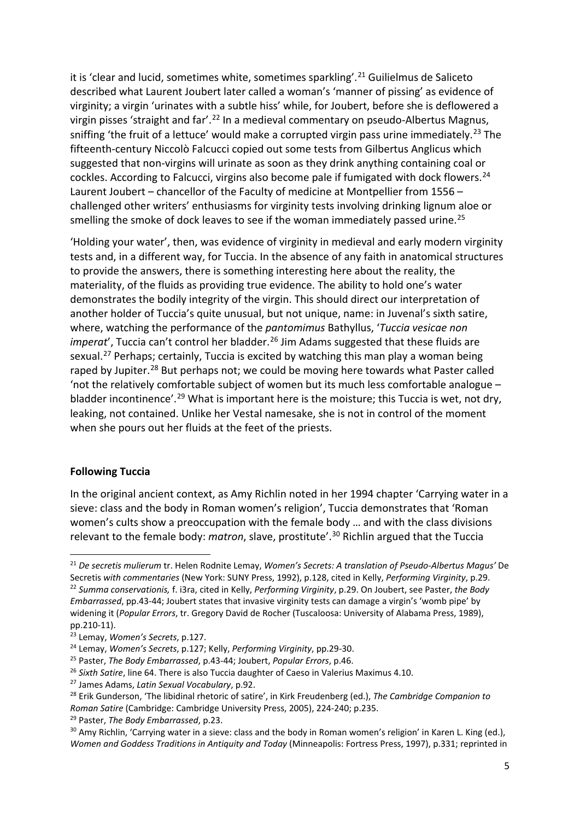it is 'clear and lucid, sometimes white, sometimes sparkling'.<sup>[21](#page-5-0)</sup> Guilielmus de Saliceto described what Laurent Joubert later called a woman's 'manner of pissing' as evidence of virginity; a virgin 'urinates with a subtle hiss' while, for Joubert, before she is deflowered a virgin pisses 'straight and far'.[22](#page-5-1) In a medieval commentary on pseudo-Albertus Magnus, sniffing 'the fruit of a lettuce' would make a corrupted virgin pass urine immediately.<sup>[23](#page-5-2)</sup> The fifteenth-century Niccolò Falcucci copied out some tests from Gilbertus Anglicus which suggested that non-virgins will urinate as soon as they drink anything containing coal or cockles. According to Falcucci, virgins also become pale if fumigated with dock flowers.<sup>[24](#page-5-3)</sup> Laurent Joubert – chancellor of the Faculty of medicine at Montpellier from 1556 – challenged other writers' enthusiasms for virginity tests involving drinking lignum aloe or smelling the smoke of dock leaves to see if the woman immediately passed urine.<sup>[25](#page-5-4)</sup>

'Holding your water', then, was evidence of virginity in medieval and early modern virginity tests and, in a different way, for Tuccia. In the absence of any faith in anatomical structures to provide the answers, there is something interesting here about the reality, the materiality, of the fluids as providing true evidence. The ability to hold one's water demonstrates the bodily integrity of the virgin. This should direct our interpretation of another holder of Tuccia's quite unusual, but not unique, name: in Juvenal's sixth satire, where, watching the performance of the *pantomimus* Bathyllus, '*Tuccia vesicae non imperat'*, Tuccia can't control her bladder.<sup>[26](#page-5-5)</sup> Jim Adams suggested that these fluids are sexual.<sup>[27](#page-5-6)</sup> Perhaps; certainly, Tuccia is excited by watching this man play a woman being raped by Jupiter.<sup>[28](#page-5-7)</sup> But perhaps not; we could be moving here towards what Paster called 'not the relatively comfortable subject of women but its much less comfortable analogue – bladder incontinence'.<sup>[29](#page-5-8)</sup> What is important here is the moisture; this Tuccia is wet, not dry, leaking, not contained. Unlike her Vestal namesake, she is not in control of the moment when she pours out her fluids at the feet of the priests.

#### **Following Tuccia**

In the original ancient context, as Amy Richlin noted in her 1994 chapter 'Carrying water in a sieve: class and the body in Roman women's religion', Tuccia demonstrates that 'Roman women's cults show a preoccupation with the female body … and with the class divisions relevant to the female body: *matron*, slave, prostitute'.[30](#page-5-9) Richlin argued that the Tuccia

<span id="page-5-0"></span><sup>21</sup> *De secretis mulierum* tr. Helen Rodnite Lemay, *Women's Secrets: A translation of Pseudo-Albertus Magus'* De Secretis *with commentaries* (New York: SUNY Press, 1992), p.128, cited in Kelly, *Performing Virginity*, p.29.

<span id="page-5-1"></span><sup>22</sup> *Summa conservationis,* f. i3ra, cited in Kelly, *Performing Virginity*, p.29. On Joubert, see Paster, *the Body Embarrassed*, pp.43-44; Joubert states that invasive virginity tests can damage a virgin's 'womb pipe' by widening it (*Popular Errors*, tr. Gregory David de Rocher (Tuscaloosa: University of Alabama Press, 1989), pp.210-11).

<span id="page-5-2"></span><sup>23</sup> Lemay, *Women's Secrets*, p.127.

<span id="page-5-3"></span><sup>24</sup> Lemay, *Women's Secrets*, p.127; Kelly, *Performing Virginity*, pp.29-30.

<span id="page-5-4"></span><sup>25</sup> Paster, *The Body Embarrassed*, p.43-44; Joubert, *Popular Errors*, p.46.

<span id="page-5-5"></span><sup>26</sup> *Sixth Satire*, line 64. There is also Tuccia daughter of Caeso in Valerius Maximus 4.10.

<span id="page-5-6"></span><sup>27</sup> James Adams, *Latin Sexual Vocabulary*, p.92.

<span id="page-5-7"></span><sup>28</sup> Erik Gunderson, 'The libidinal rhetoric of satire', in Kirk Freudenberg (ed.), *The Cambridge Companion to Roman Satire* (Cambridge: Cambridge University Press, 2005), 224-240; p.235.

<span id="page-5-8"></span><sup>29</sup> Paster, *The Body Embarrassed*, p.23.

<span id="page-5-9"></span><sup>&</sup>lt;sup>30</sup> Amy Richlin, 'Carrying water in a sieve: class and the body in Roman women's religion' in Karen L. King (ed.), *Women and Goddess Traditions in Antiquity and Today* (Minneapolis: Fortress Press, 1997), p.331; reprinted in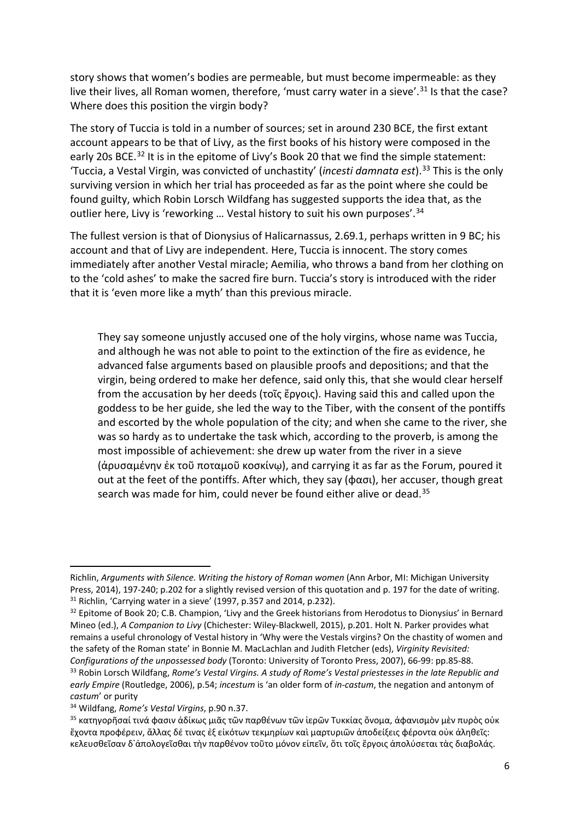story shows that women's bodies are permeable, but must become impermeable: as they live their lives, all Roman women, therefore, 'must carry water in a sieve'.<sup>[31](#page-6-0)</sup> Is that the case? Where does this position the virgin body?

The story of Tuccia is told in a number of sources; set in around 230 BCE, the first extant account appears to be that of Livy, as the first books of his history were composed in the early 20s BCE.<sup>[32](#page-6-1)</sup> It is in the epitome of Livy's Book 20 that we find the simple statement: 'Tuccia, a Vestal Virgin, was convicted of unchastity' (*incesti damnata est*). [33](#page-6-2) This is the only surviving version in which her trial has proceeded as far as the point where she could be found guilty, which Robin Lorsch Wildfang has suggested supports the idea that, as the outlier here, Livy is 'reworking ... Vestal history to suit his own purposes'.<sup>[34](#page-6-3)</sup>

The fullest version is that of Dionysius of Halicarnassus, 2.69.1, perhaps written in 9 BC; his account and that of Livy are independent. Here, Tuccia is innocent. The story comes immediately after another Vestal miracle; Aemilia, who throws a band from her clothing on to the 'cold ashes' to make the sacred fire burn. Tuccia's story is introduced with the rider that it is 'even more like a myth' than this previous miracle.

They say someone unjustly accused one of the holy virgins, whose name was Tuccia, and although he was not able to point to the extinction of the fire as evidence, he advanced false arguments based on plausible proofs and depositions; and that the virgin, being ordered to make her defence, said only this, that she would clear herself from the accusation by her deeds (τοῖς ἔργοις). Having said this and called upon the goddess to be her guide, she led the way to the Tiber, with the consent of the pontiffs and escorted by the whole population of the city; and when she came to the river, she was so hardy as to undertake the task which, according to the proverb, is among the most impossible of achievement: she drew up water from the river in a sieve (ἀρυσαμένην ἐκ τοῦ ποταμοῦ κοσκίνῳ), and carrying it as far as the Forum, poured it out at the feet of the pontiffs. After which, they say ( $\phi$ ασι), her accuser, though great search was made for him, could never be found either alive or dead.<sup>[35](#page-6-4)</sup>

Richlin, *Arguments with Silence. Writing the history of Roman women* (Ann Arbor, MI: Michigan University Press, 2014), 197-240; p.202 for a slightly revised version of this quotation and p. 197 for the date of writing. <sup>31</sup> Richlin, 'Carrying water in a sieve' (1997, p.357 and 2014, p.232).

<span id="page-6-1"></span><span id="page-6-0"></span><sup>&</sup>lt;sup>32</sup> Epitome of Book 20; C.B. Champion, 'Livy and the Greek historians from Herodotus to Dionysius' in Bernard Mineo (ed.), *A Companion to Livy* (Chichester: Wiley-Blackwell, 2015), p.201. Holt N. Parker provides what remains a useful chronology of Vestal history in 'Why were the Vestals virgins? On the chastity of women and the safety of the Roman state' in Bonnie M. MacLachlan and Judith Fletcher (eds), *Virginity Revisited: Configurations of the unpossessed body* (Toronto: University of Toronto Press, 2007), 66-99: pp.85-88.

<span id="page-6-2"></span><sup>33</sup> Robin Lorsch Wildfang, *Rome's Vestal Virgins. A study of Rome's Vestal priestesses in the late Republic and early Empire* (Routledge, 2006), p.54; *incestum* is 'an older form of *in-castum*, the negation and antonym of *castum*' or purity

<span id="page-6-3"></span><sup>34</sup> Wildfang, *Rome's Vestal Virgins*, p.90 n.37.

<span id="page-6-4"></span><sup>&</sup>lt;sup>35</sup> κατηγορῆσαί τινά φασιν ἀδίκως μιᾶς τῶν παρθένων τῶν ἱερῶν Τυκκίας ὄνομα, ἀφανισμὸν μὲν πυρὸς οὐκ ἔχοντα προφέρειν, ἄλλας δέ τινας ἐξ εἰκότων τεκμηρίων καὶ μαρτυριῶν ἀποδείξεις φέροντα οὐκ ἀληθεῖς: κελευσθεῖσαν δ᾽ἀπολογεῖσθαι τὴν παρθένον τοῦτο μόνον εἰπεῖν, ὅτι τοῖς ἔργοις ἀπολύσεται τὰς διαβολάς.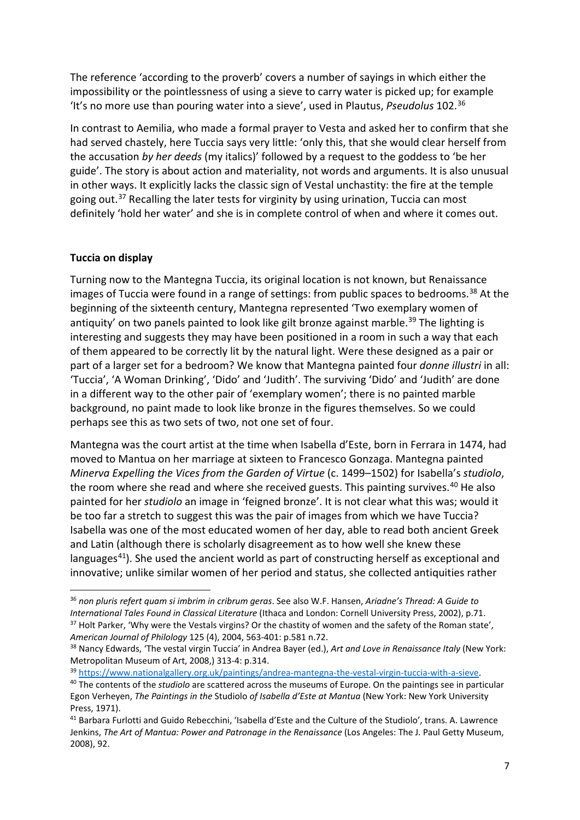The reference 'according to the proverb' covers a number of sayings in which either the impossibility or the pointlessness of using a sieve to carry water is picked up; for example 'It's no more use than pouring water into a sieve', used in Plautus, *Pseudolus* 102. [36](#page-7-0)

In contrast to Aemilia, who made a formal prayer to Vesta and asked her to confirm that she had served chastely, here Tuccia says very little: 'only this, that she would clear herself from the accusation *by her deeds* (my italics)' followed by a request to the goddess to 'be her guide'. The story is about action and materiality, not words and arguments. It is also unusual in other ways. It explicitly lacks the classic sign of Vestal unchastity: the fire at the temple going out.<sup>[37](#page-7-1)</sup> Recalling the later tests for virginity by using urination, Tuccia can most definitely 'hold her water' and she is in complete control of when and where it comes out.

#### **Tuccia on display**

Turning now to the Mantegna Tuccia, its original location is not known, but Renaissance images of Tuccia were found in a range of settings: from public spaces to bedrooms.<sup>[38](#page-7-2)</sup> At the beginning of the sixteenth century, Mantegna represented 'Two exemplary women of antiquity' on two panels painted to look like gilt bronze against marble.<sup>[39](#page-7-3)</sup> The lighting is interesting and suggests they may have been positioned in a room in such a way that each of them appeared to be correctly lit by the natural light. Were these designed as a pair or part of a larger set for a bedroom? We know that Mantegna painted four *donne illustri* in all: 'Tuccia', 'A Woman Drinking', 'Dido' and 'Judith'. The surviving 'Dido' and 'Judith' are done in a different way to the other pair of 'exemplary women'; there is no painted marble background, no paint made to look like bronze in the figures themselves. So we could perhaps see this as two sets of two, not one set of four.

Mantegna was the court artist at the time when Isabella d'Este, born in Ferrara in 1474, had moved to Mantua on her marriage at sixteen to Francesco Gonzaga. Mantegna painted *Minerva Expelling the Vices from the Garden of Virtue* (c. 1499–1502) for Isabella's *studiolo*, the room where she read and where she received guests. This painting survives.<sup>[40](#page-7-4)</sup> He also painted for her *studiolo* an image in 'feigned bronze'. It is not clear what this was; would it be too far a stretch to suggest this was the pair of images from which we have Tuccia? Isabella was one of the most educated women of her day, able to read both ancient Greek and Latin (although there is scholarly disagreement as to how well she knew these languages<sup>[41](#page-7-5)</sup>). She used the ancient world as part of constructing herself as exceptional and innovative; unlike similar women of her period and status, she collected antiquities rather

<span id="page-7-0"></span><sup>36</sup> *non pluris refert quam si imbrim in cribrum geras*. See also W.F. Hansen, *Ariadne's Thread: A Guide to International Tales Found in Classical Literature* (Ithaca and London: Cornell University Press, 2002), p.71. <sup>37</sup> Holt Parker, 'Why were the Vestals virgins? Or the chastity of women and the safety of the Roman state', *American Journal of Philology* 125 (4), 2004, 563-401: p.581 n.72.

<span id="page-7-2"></span><span id="page-7-1"></span><sup>38</sup> Nancy Edwards, 'The vestal virgin Tuccia' in Andrea Bayer (ed.), *Art and Love in Renaissance Italy* (New York: Metropolitan Museum of Art, 2008,) 313-4: p.314.

<span id="page-7-3"></span><sup>39</sup> [https://www.nationalgallery.org.uk/paintings/andrea-mantegna-the-vestal-virgin-tuccia-with-a-sieve.](https://www.nationalgallery.org.uk/paintings/andrea-mantegna-the-vestal-virgin-tuccia-with-a-sieve) 40 The contents of the *studiolo* are scattered across the museums of Europe. On the paintings see in particular

<span id="page-7-4"></span>Egon Verheyen, *The Paintings in the* Studiolo *of Isabella d'Este at Mantua* (New York: New York University Press, 1971).

<span id="page-7-5"></span><sup>41</sup> Barbara Furlotti and Guido Rebecchini, 'Isabella d'Este and the Culture of the Studiolo', trans. A. Lawrence Jenkins, *The Art of Mantua: Power and Patronage in the Renaissance* (Los Angeles: The J. Paul Getty Museum, 2008), 92.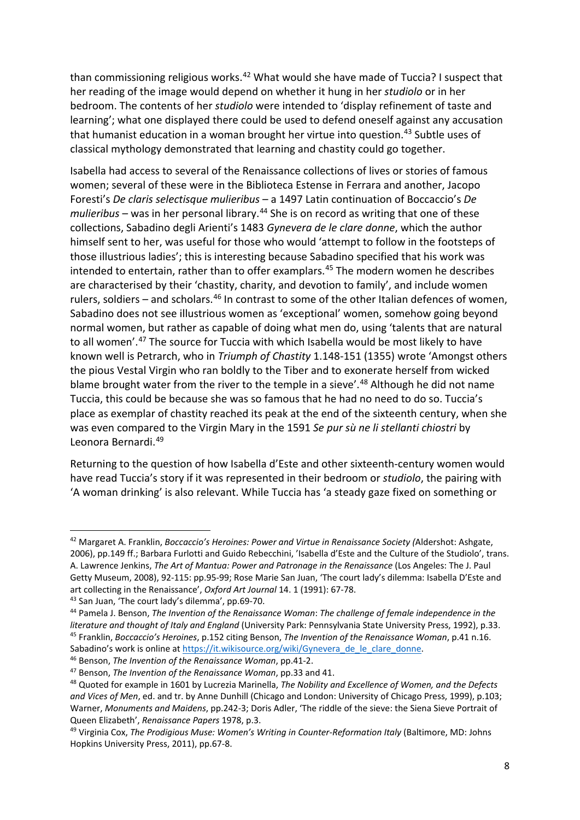than commissioning religious works.<sup>42</sup> What would she have made of Tuccia? I suspect that her reading of the image would depend on whether it hung in her *studiolo* or in her bedroom. The contents of her *studiolo* were intended to 'display refinement of taste and learning'; what one displayed there could be used to defend oneself against any accusation that humanist education in a woman brought her virtue into question.<sup>[43](#page-8-1)</sup> Subtle uses of classical mythology demonstrated that learning and chastity could go together.

Isabella had access to several of the Renaissance collections of lives or stories of famous women; several of these were in the Biblioteca Estense in Ferrara and another, Jacopo Foresti's *De claris selectisque mulieribus* – a 1497 Latin continuation of Boccaccio's *De mulieribus* – was in her personal library.<sup>[44](#page-8-2)</sup> She is on record as writing that one of these collections, Sabadino degli Arienti's 1483 *Gynevera de le clare donne*, which the author himself sent to her, was useful for those who would 'attempt to follow in the footsteps of those illustrious ladies'; this is interesting because Sabadino specified that his work was intended to entertain, rather than to offer examplars.<sup>[45](#page-8-3)</sup> The modern women he describes are characterised by their 'chastity, charity, and devotion to family', and include women rulers, soldiers – and scholars. $46$  In contrast to some of the other Italian defences of women, Sabadino does not see illustrious women as 'exceptional' women, somehow going beyond normal women, but rather as capable of doing what men do, using 'talents that are natural to all women'.[47](#page-8-5) The source for Tuccia with which Isabella would be most likely to have known well is Petrarch, who in *Triumph of Chastity* 1.148-151 (1355) wrote 'Amongst others the pious Vestal Virgin who ran boldly to the Tiber and to exonerate herself from wicked blame brought water from the river to the temple in a sieve'.<sup>[48](#page-8-6)</sup> Although he did not name Tuccia, this could be because she was so famous that he had no need to do so. Tuccia's place as exemplar of chastity reached its peak at the end of the sixteenth century, when she was even compared to the Virgin Mary in the 1591 *Se pur sù ne li stellanti chiostri* by Leonora Bernardi.[49](#page-8-7)

Returning to the question of how Isabella d'Este and other sixteenth-century women would have read Tuccia's story if it was represented in their bedroom or *studiolo*, the pairing with 'A woman drinking' is also relevant. While Tuccia has 'a steady gaze fixed on something or

<span id="page-8-0"></span><sup>42</sup> Margaret A. Franklin, *Boccaccio's Heroines: Power and Virtue in Renaissance Society (*Aldershot: Ashgate, 2006), pp.149 ff.; Barbara Furlotti and Guido Rebecchini, 'Isabella d'Este and the Culture of the Studiolo', trans. A. Lawrence Jenkins, *The Art of Mantua: Power and Patronage in the Renaissance* (Los Angeles: The J. Paul Getty Museum, 2008), 92-115: pp.95-99; Rose Marie San Juan, 'The court lady's dilemma: Isabella D'Este and art collecting in the Renaissance', *Oxford Art Journal* 14. 1 (1991): 67-78.

<span id="page-8-1"></span><sup>43</sup> San Juan, 'The court lady's dilemma', pp.69-70.

<span id="page-8-3"></span><span id="page-8-2"></span><sup>44</sup> Pamela J. Benson, *The Invention of the Renaissance Woman*: *The challenge of female independence in the literature and thought of Italy and England* (University Park: Pennsylvania State University Press, 1992), p.33. <sup>45</sup> Franklin, *Boccaccio's Heroines*, p.152 citing Benson, *The Invention of the Renaissance Woman*, p.41 n.16. Sabadino's work is online a[t https://it.wikisource.org/wiki/Gynevera\\_de\\_le\\_clare\\_donne.](https://it.wikisource.org/wiki/Gynevera_de_le_clare_donne)<br><sup>46</sup> Benson, *The Invention of the Renaissance Woman*, pp.41-2.

<span id="page-8-5"></span><span id="page-8-4"></span><sup>47</sup> Benson, *The Invention of the Renaissance Woman*, pp.33 and 41.

<span id="page-8-6"></span><sup>48</sup> Quoted for example in 1601 by Lucrezia Marinella, *The Nobility and Excellence of Women, and the Defects and Vices of Men*, ed. and tr. by Anne Dunhill (Chicago and London: University of Chicago Press, 1999), p.103; Warner, *Monuments and Maidens*, pp.242-3; Doris Adler, 'The riddle of the sieve: the Siena Sieve Portrait of Queen Elizabeth', *Renaissance Papers* 1978, p.3.<br><sup>49</sup> Virginia Cox, *The Prodigious Muse: Women's Writing in Counter-Reformation Italy* (Baltimore, MD: Johns)

<span id="page-8-7"></span>Hopkins University Press, 2011), pp.67-8.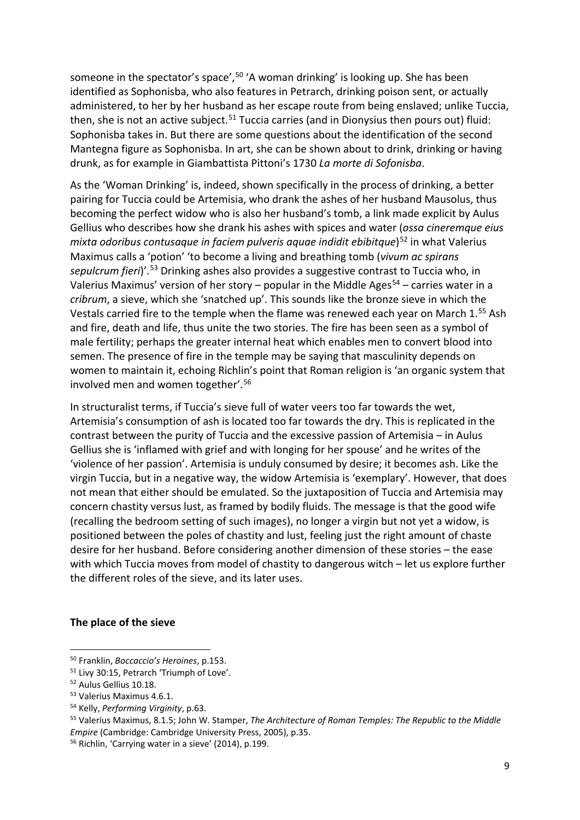someone in the spectator's space',<sup>[50](#page-9-0)</sup> 'A woman drinking' is looking up. She has been identified as Sophonisba, who also features in Petrarch, drinking poison sent, or actually administered, to her by her husband as her escape route from being enslaved; unlike Tuccia, then, she is not an active subject.<sup>[51](#page-9-1)</sup> Tuccia carries (and in Dionysius then pours out) fluid: Sophonisba takes in. But there are some questions about the identification of the second Mantegna figure as Sophonisba. In art, she can be shown about to drink, drinking or having drunk, as for example in Giambattista Pittoni's 1730 *La morte di Sofonisba*.

As the 'Woman Drinking' is, indeed, shown specifically in the process of drinking, a better pairing for Tuccia could be Artemisia, who drank the ashes of her husband Mausolus, thus becoming the perfect widow who is also her husband's tomb, a link made explicit by Aulus Gellius who describes how she drank his ashes with spices and water (*ossa cineremque eius mixta odoribus contusaque in faciem pulveris aquae indidit ebibitque*)<sup>[52](#page-9-2)</sup> in what Valerius Maximus calls a 'potion' 'to become a living and breathing tomb (*vivum ac spirans sepulcrum fieri*)'.[53](#page-9-3) Drinking ashes also provides a suggestive contrast to Tuccia who, in Valerius Maximus' version of her story – popular in the Middle Ages<sup>[54](#page-9-4)</sup> – carries water in a *cribrum*, a sieve, which she 'snatched up'. This sounds like the bronze sieve in which the Vestals carried fire to the temple when the flame was renewed each year on March 1.<sup>[55](#page-9-5)</sup> Ash and fire, death and life, thus unite the two stories. The fire has been seen as a symbol of male fertility; perhaps the greater internal heat which enables men to convert blood into semen. The presence of fire in the temple may be saying that masculinity depends on women to maintain it, echoing Richlin's point that Roman religion is 'an organic system that involved men and women together'. [56](#page-9-6)

In structuralist terms, if Tuccia's sieve full of water veers too far towards the wet, Artemisia's consumption of ash is located too far towards the dry. This is replicated in the contrast between the purity of Tuccia and the excessive passion of Artemisia – in Aulus Gellius she is 'inflamed with grief and with longing for her spouse' and he writes of the 'violence of her passion'. Artemisia is unduly consumed by desire; it becomes ash. Like the virgin Tuccia, but in a negative way, the widow Artemisia is 'exemplary'. However, that does not mean that either should be emulated. So the juxtaposition of Tuccia and Artemisia may concern chastity versus lust, as framed by bodily fluids. The message is that the good wife (recalling the bedroom setting of such images), no longer a virgin but not yet a widow, is positioned between the poles of chastity and lust, feeling just the right amount of chaste desire for her husband. Before considering another dimension of these stories – the ease with which Tuccia moves from model of chastity to dangerous witch – let us explore further the different roles of the sieve, and its later uses.

#### **The place of the sieve**

<span id="page-9-4"></span><sup>54</sup> Kelly, *Performing Virginity*, p.63.

<span id="page-9-0"></span><sup>50</sup> Franklin, *Boccaccio's Heroines*, p.153.

<span id="page-9-1"></span><sup>51</sup> Livy 30:15, Petrarch 'Triumph of Love'.

<span id="page-9-2"></span><sup>52</sup> Aulus Gellius 10.18.

<span id="page-9-3"></span><sup>53</sup> Valerius Maximus 4.6.1.

<span id="page-9-5"></span><sup>55</sup> Valerius Maximus, 8.1.5; John W. Stamper, *The Architecture of Roman Temples: The Republic to the Middle Empire* (Cambridge: Cambridge University Press, 2005), p.35.

<span id="page-9-6"></span><sup>56</sup> Richlin, 'Carrying water in a sieve' (2014), p.199.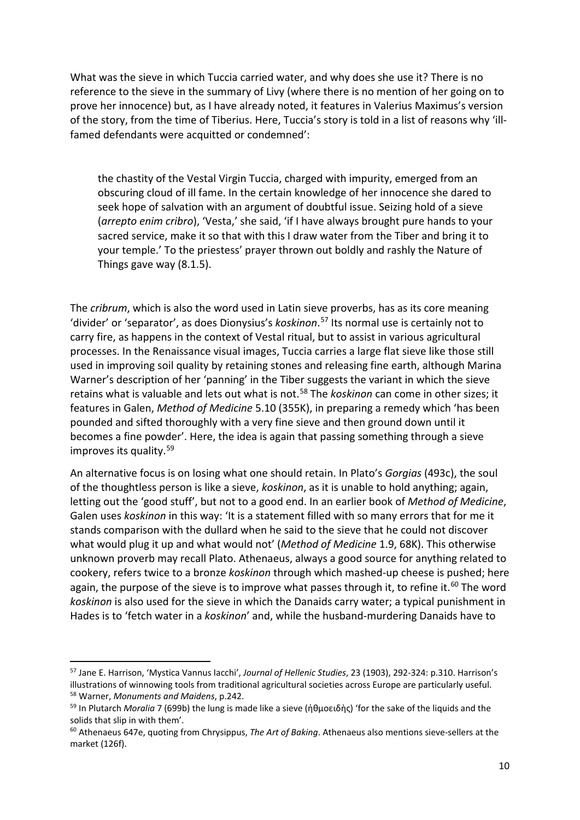What was the sieve in which Tuccia carried water, and why does she use it? There is no reference to the sieve in the summary of Livy (where there is no mention of her going on to prove her innocence) but, as I have already noted, it features in Valerius Maximus's version of the story, from the time of Tiberius. Here, Tuccia's story is told in a list of reasons why 'illfamed defendants were acquitted or condemned':

the chastity of the Vestal Virgin Tuccia, charged with impurity, emerged from an obscuring cloud of ill fame. In the certain knowledge of her innocence she dared to seek hope of salvation with an argument of doubtful issue. Seizing hold of a sieve (*arrepto enim cribro*), 'Vesta,' she said, 'if I have always brought pure hands to your sacred service, make it so that with this I draw water from the Tiber and bring it to your temple.' To the priestess' prayer thrown out boldly and rashly the Nature of Things gave way (8.1.5).

The *cribrum*, which is also the word used in Latin sieve proverbs, has as its core meaning 'divider' or 'separator', as does Dionysius's *koskinon*. [57](#page-10-0) Its normal use is certainly not to carry fire, as happens in the context of Vestal ritual, but to assist in various agricultural processes. In the Renaissance visual images, Tuccia carries a large flat sieve like those still used in improving soil quality by retaining stones and releasing fine earth, although Marina Warner's description of her 'panning' in the Tiber suggests the variant in which the sieve retains what is valuable and lets out what is not. [58](#page-10-1) The *koskinon* can come in other sizes; it features in Galen, *Method of Medicine* 5.10 (355K), in preparing a remedy which 'has been pounded and sifted thoroughly with a very fine sieve and then ground down until it becomes a fine powder'. Here, the idea is again that passing something through a sieve improves its quality. [59](#page-10-2)

An alternative focus is on losing what one should retain. In Plato's *Gorgias* (493c), the soul of the thoughtless person is like a sieve, *koskinon*, as it is unable to hold anything; again, letting out the 'good stuff', but not to a good end. In an earlier book of *Method of Medicine*, Galen uses *koskinon* in this way: 'It is a statement filled with so many errors that for me it stands comparison with the dullard when he said to the sieve that he could not discover what would plug it up and what would not' (*Method of Medicine* 1.9, 68K). This otherwise unknown proverb may recall Plato. Athenaeus, always a good source for anything related to cookery, refers twice to a bronze *koskinon* through which mashed-up cheese is pushed; here again, the purpose of the sieve is to improve what passes through it, to refine it.<sup>[60](#page-10-3)</sup> The word *koskinon* is also used for the sieve in which the Danaids carry water; a typical punishment in Hades is to 'fetch water in a *koskinon*' and, while the husband-murdering Danaids have to

<span id="page-10-0"></span><sup>57</sup> Jane E. Harrison, 'Mystica Vannus Iacchi', *Journal of Hellenic Studies*, 23 (1903), 292-324: p.310. Harrison's illustrations of winnowing tools from traditional agricultural societies across Europe are particularly useful. <sup>58</sup> Warner, *Monuments and Maidens*, p.242.

<span id="page-10-2"></span><span id="page-10-1"></span><sup>59</sup> In Plutarch *Moralia* 7 (699b) the lung is made like a sieve (ἠθμοειδὴς) 'for the sake of the liquids and the solids that slip in with them'.

<span id="page-10-3"></span><sup>60</sup> Athenaeus 647e, quoting from Chrysippus, *The Art of Baking*. Athenaeus also mentions sieve-sellers at the market (126f).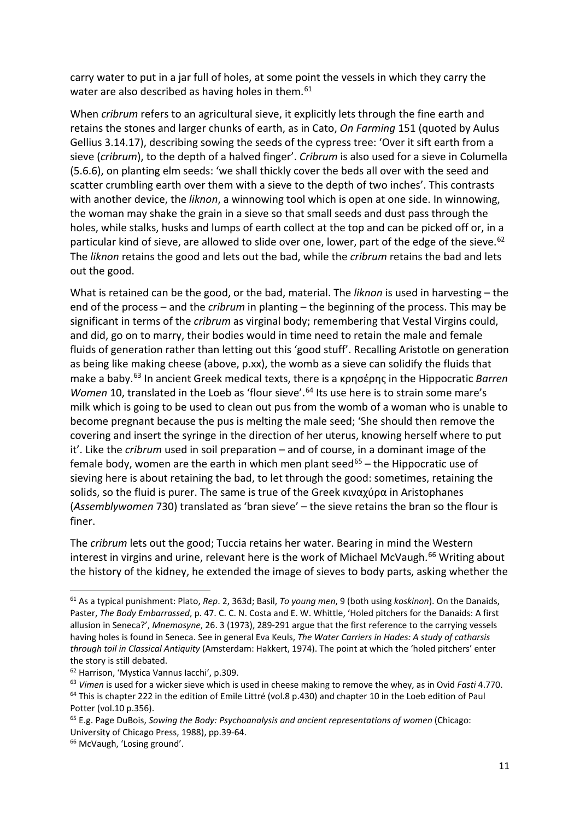carry water to put in a jar full of holes, at some point the vessels in which they carry the water are also described as having holes in them.<sup>[61](#page-11-0)</sup>

When *cribrum* refers to an agricultural sieve, it explicitly lets through the fine earth and retains the stones and larger chunks of earth, as in Cato, *On Farming* 151 (quoted by Aulus Gellius 3.14.17), describing sowing the seeds of the cypress tree: 'Over it sift earth from a sieve (*cribrum*), to the depth of a halved finger'. *Cribrum* is also used for a sieve in Columella (5.6.6), on planting elm seeds: 'we shall thickly cover the beds all over with the seed and scatter crumbling earth over them with a sieve to the depth of two inches'. This contrasts with another device, the *liknon*, a winnowing tool which is open at one side. In winnowing, the woman may shake the grain in a sieve so that small seeds and dust pass through the holes, while stalks, husks and lumps of earth collect at the top and can be picked off or, in a particular kind of sieve, are allowed to slide over one, lower, part of the edge of the sieve.<sup>[62](#page-11-1)</sup> The *liknon* retains the good and lets out the bad, while the *cribrum* retains the bad and lets out the good.

What is retained can be the good, or the bad, material. The *liknon* is used in harvesting – the end of the process – and the *cribrum* in planting – the beginning of the process. This may be significant in terms of the *cribrum* as virginal body; remembering that Vestal Virgins could, and did, go on to marry, their bodies would in time need to retain the male and female fluids of generation rather than letting out this 'good stuff'. Recalling Aristotle on generation as being like making cheese (above, p.xx), the womb as a sieve can solidify the fluids that make a baby.[63](#page-11-2) In ancient Greek medical texts, there is a κρησέρης in the Hippocratic *Barren Women* 10, translated in the Loeb as 'flour sieve'.<sup>[64](#page-11-3)</sup> Its use here is to strain some mare's milk which is going to be used to clean out pus from the womb of a woman who is unable to become pregnant because the pus is melting the male seed; 'She should then remove the covering and insert the syringe in the direction of her uterus, knowing herself where to put it'. Like the *cribrum* used in soil preparation – and of course, in a dominant image of the female body, women are the earth in which men plant seed<sup>[65](#page-11-4)</sup> – the Hippocratic use of sieving here is about retaining the bad, to let through the good: sometimes, retaining the solids, so the fluid is purer. The same is true of the Greek κιναχύρα in Aristophanes (*Assemblywomen* 730) translated as 'bran sieve' – the sieve retains the bran so the flour is finer.

The *cribrum* lets out the good; Tuccia retains her water. Bearing in mind the Western interest in virgins and urine, relevant here is the work of Michael McVaugh.<sup>[66](#page-11-5)</sup> Writing about the history of the kidney, he extended the image of sieves to body parts, asking whether the

<span id="page-11-0"></span><sup>61</sup> As a typical punishment: Plato, *Rep*. 2, 363d; Basil, *To young men*, 9 (both using *koskinon*). On the Danaids, Paster, *The Body Embarrassed*, p. 47. [C. C. N. Costa](http://www.jstor.org.libezproxy.open.ac.uk/action/doBasicSearch?si=1&Query=au%3A%22C.+C.+N.+Costa%22&ymod=Your+inbound+link+did+not+have+an+exact+match+in+our+database.+But+based+on+the+elements+we+could+match%2C+we+have+returned+the+following+results.) an[d E. W. Whittle,](http://www.jstor.org.libezproxy.open.ac.uk/action/doBasicSearch?si=1&Query=au%3A%22E.+W.+Whittle%22&ymod=Your+inbound+link+did+not+have+an+exact+match+in+our+database.+But+based+on+the+elements+we+could+match%2C+we+have+returned+the+following+results.) 'Holed pitchers for the Danaids: A first allusion in Seneca?', *Mnemosyne*, 26. 3 (1973), 289-291 argue that the first reference to the carrying vessels having holes is found in Seneca. See in general Eva Keuls, *The Water Carriers in Hades: A study of catharsis through toil in Classical Antiquity* (Amsterdam: Hakkert, 1974). The point at which the 'holed pitchers' enter the story is still debated.

<span id="page-11-1"></span><sup>62</sup> Harrison, 'Mystica Vannus Iacchi', p.309.

<span id="page-11-3"></span><span id="page-11-2"></span><sup>63</sup> *Vimen* is used for a wicker sieve which is used in cheese making to remove the whey, as in Ovid *Fasti* 4.770. <sup>64</sup> This is chapter 222 in the edition of Emile Littré (vol.8 p.430) and chapter 10 in the Loeb edition of Paul Potter (vol.10 p.356).

<span id="page-11-4"></span><sup>65</sup> E.g. Page DuBois, *Sowing the Body: Psychoanalysis and ancient representations of women* (Chicago: University of Chicago Press, 1988), pp.39-64.

<span id="page-11-5"></span><sup>66</sup> McVaugh, 'Losing ground'.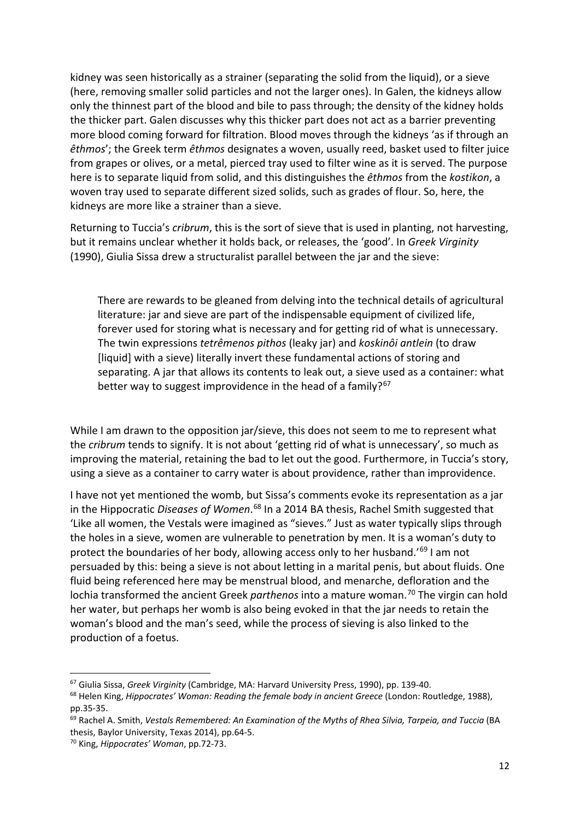kidney was seen historically as a strainer (separating the solid from the liquid), or a sieve (here, removing smaller solid particles and not the larger ones). In Galen, the kidneys allow only the thinnest part of the blood and bile to pass through; the density of the kidney holds the thicker part. Galen discusses why this thicker part does not act as a barrier preventing more blood coming forward for filtration. Blood moves through the kidneys 'as if through an *êthmos*'; the Greek term *êthmos* designates a woven, usually reed, basket used to filter juice from grapes or olives, or a metal, pierced tray used to filter wine as it is served. The purpose here is to separate liquid from solid, and this distinguishes the *êthmos* from the *kostikon*, a woven tray used to separate different sized solids, such as grades of flour. So, here, the kidneys are more like a strainer than a sieve.

Returning to Tuccia's *cribrum*, this is the sort of sieve that is used in planting, not harvesting, but it remains unclear whether it holds back, or releases, the 'good'. In *Greek Virginity*  (1990), Giulia Sissa drew a structuralist parallel between the jar and the sieve:

There are rewards to be gleaned from delving into the technical details of agricultural literature: jar and sieve are part of the indispensable equipment of civilized life, forever used for storing what is necessary and for getting rid of what is unnecessary. The twin expressions *tetrêmenos pithos* (leaky jar) and *koskinôi antlein* (to draw [liquid] with a sieve) literally invert these fundamental actions of storing and separating. A jar that allows its contents to leak out, a sieve used as a container: what better way to suggest improvidence in the head of a family?<sup>[67](#page-12-0)</sup>

While I am drawn to the opposition jar/sieve, this does not seem to me to represent what the *cribrum* tends to signify. It is not about 'getting rid of what is unnecessary', so much as improving the material, retaining the bad to let out the good. Furthermore, in Tuccia's story, using a sieve as a container to carry water is about providence, rather than improvidence.

I have not yet mentioned the womb, but Sissa's comments evoke its representation as a jar in the Hippocratic *Diseases of Women*. [68](#page-12-1) In a 2014 BA thesis, Rachel Smith suggested that 'Like all women, the Vestals were imagined as "sieves." Just as water typically slips through the holes in a sieve, women are vulnerable to penetration by men. It is a woman's duty to protect the boundaries of her body, allowing access only to her husband.'<sup>[69](#page-12-2)</sup> I am not persuaded by this: being a sieve is not about letting in a marital penis, but about fluids. One fluid being referenced here may be menstrual blood, and menarche, defloration and the lochia transformed the ancient Greek *parthenos* into a mature woman.[70](#page-12-3) The virgin can hold her water, but perhaps her womb is also being evoked in that the jar needs to retain the woman's blood and the man's seed, while the process of sieving is also linked to the production of a foetus.

<span id="page-12-0"></span><sup>67</sup> Giulia Sissa, *Greek Virginity* (Cambridge, MA: Harvard University Press, 1990), pp. 139-40.

<span id="page-12-1"></span><sup>68</sup> Helen King, *Hippocrates' Woman: Reading the female body in ancient Greece* (London: Routledge, 1988), pp.35-35.

<span id="page-12-2"></span><sup>69</sup> Rachel A. Smith, *Vestals Remembered: An Examination of the Myths of Rhea Silvia, Tarpeia, and Tuccia* (BA thesis, Baylor University, Texas 2014), pp.64-5.

<span id="page-12-3"></span><sup>70</sup> King, *Hippocrates' Woman*, pp.72-73.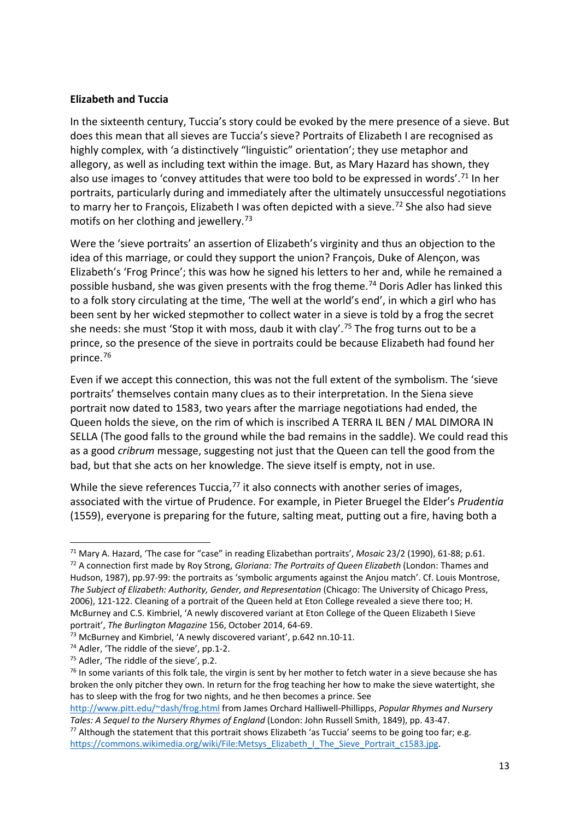#### **Elizabeth and Tuccia**

In the sixteenth century, Tuccia's story could be evoked by the mere presence of a sieve. But does this mean that all sieves are Tuccia's sieve? Portraits of Elizabeth I are recognised as highly complex, with 'a distinctively "linguistic" orientation'; they use metaphor and allegory, as well as including text within the image. But, as Mary Hazard has shown, they also use images to 'convey attitudes that were too bold to be expressed in words'.<sup>[71](#page-13-0)</sup> In her portraits, particularly during and immediately after the ultimately unsuccessful negotiations to marry her to François, Elizabeth I was often depicted with a sieve.<sup>[72](#page-13-1)</sup> She also had sieve motifs on her clothing and jewellery.<sup>[73](#page-13-2)</sup>

Were the 'sieve portraits' an assertion of Elizabeth's virginity and thus an objection to the idea of this marriage, or could they support the union? François, Duke of Alençon, was Elizabeth's 'Frog Prince'; this was how he signed his letters to her and, while he remained a possible husband, she was given presents with the frog theme.<sup>[74](#page-13-3)</sup> Doris Adler has linked this to a folk story circulating at the time, 'The well at the world's end', in which a girl who has been sent by her wicked stepmother to collect water in a sieve is told by a frog the secret she needs: she must 'Stop it with moss, daub it with clay'.<sup>[75](#page-13-4)</sup> The frog turns out to be a prince, so the presence of the sieve in portraits could be because Elizabeth had found her prince. [76](#page-13-5)

Even if we accept this connection, this was not the full extent of the symbolism. The 'sieve portraits' themselves contain many clues as to their interpretation. In the Siena sieve portrait now dated to 1583, two years after the marriage negotiations had ended, the Queen holds the sieve, on the rim of which is inscribed A TERRA IL BEN / MAL DIMORA IN SELLA (The good falls to the ground while the bad remains in the saddle). We could read this as a good *cribrum* message, suggesting not just that the Queen can tell the good from the bad, but that she acts on her knowledge. The sieve itself is empty, not in use.

While the sieve references Tuccia, $^{77}$  $^{77}$  $^{77}$  it also connects with another series of images, associated with the virtue of Prudence. For example, in Pieter Bruegel the Elder's *Prudentia* (1559), everyone is preparing for the future, salting meat, putting out a fire, having both a

[http://www.pitt.edu/~dash/frog.html](http://www.pitt.edu/%7Edash/frog.html) from James Orchard Halliwell-Phillipps, *Popular Rhymes and Nursery Tales: A Sequel to the Nursery Rhymes of England* (London: John Russell Smith, 1849), pp. 43-47.

<span id="page-13-1"></span><span id="page-13-0"></span><sup>71</sup> Mary A. Hazard, 'The case for "case" in reading Elizabethan portraits', *Mosaic* 23/2 (1990), 61-88; p.61. <sup>72</sup> A connection first made by Roy Strong, *Gloriana: The Portraits of Queen Elizabeth* (London: Thames and Hudson, 1987), pp.97-99: the portraits as 'symbolic arguments against the Anjou match'. Cf. Louis Montrose, *The Subject of Elizabeth: Authority, Gender, and Representation* (Chicago: The University of Chicago Press, 2006), 121-122. Cleaning of a portrait of the Queen held at Eton College revealed a sieve there too; H. McBurney and C.S. Kimbriel, 'A newly discovered variant at Eton College of the Queen Elizabeth I Sieve portrait', *The Burlington Magazine* 156, October 2014, 64-69.

<span id="page-13-2"></span><sup>&</sup>lt;sup>73</sup> McBurney and Kimbriel, 'A newly discovered variant', p.642 nn.10-11.

<span id="page-13-3"></span><sup>74</sup> Adler, 'The riddle of the sieve', pp.1-2.

<span id="page-13-4"></span><sup>75</sup> Adler, 'The riddle of the sieve', p.2.

<span id="page-13-5"></span> $76$  In some variants of this folk tale, the virgin is sent by her mother to fetch water in a sieve because she has broken the only pitcher they own. In return for the frog teaching her how to make the sieve watertight, she has to sleep with the frog for two nights, and he then becomes a prince. See

<span id="page-13-6"></span><sup>&</sup>lt;sup>77</sup> Although the statement that this portrait shows Elizabeth 'as Tuccia' seems to be going too far; e.g. [https://commons.wikimedia.org/wiki/File:Metsys\\_Elizabeth\\_I\\_The\\_Sieve\\_Portrait\\_c1583.jpg.](https://commons.wikimedia.org/wiki/File:Metsys_Elizabeth_I_The_Sieve_Portrait_c1583.jpg)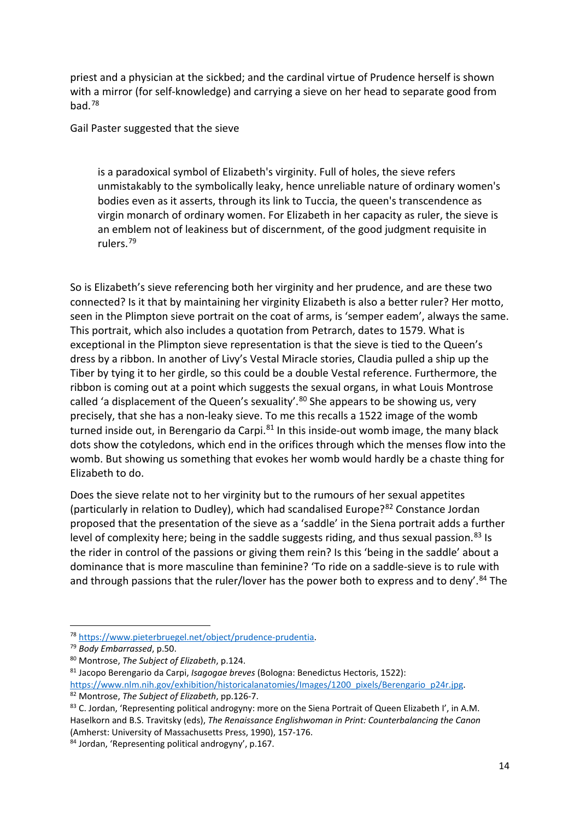priest and a physician at the sickbed; and the cardinal virtue of Prudence herself is shown with a mirror (for self-knowledge) and carrying a sieve on her head to separate good from bad.[78](#page-14-0)

Gail Paster suggested that the sieve

is a paradoxical symbol of Elizabeth's virginity. Full of holes, the sieve refers unmistakably to the symbolically leaky, hence unreliable nature of ordinary women's bodies even as it asserts, through its link to Tuccia, the queen's transcendence as virgin monarch of ordinary women. For Elizabeth in her capacity as ruler, the sieve is an emblem not of leakiness but of discernment, of the good judgment requisite in rulers.[79](#page-14-1)

So is Elizabeth's sieve referencing both her virginity and her prudence, and are these two connected? Is it that by maintaining her virginity Elizabeth is also a better ruler? Her motto, seen in the Plimpton sieve portrait on the coat of arms, is 'semper eadem', always the same. This portrait, which also includes a quotation from Petrarch, dates to 1579. What is exceptional in the Plimpton sieve representation is that the sieve is tied to the Queen's dress by a ribbon. In another of Livy's Vestal Miracle stories, Claudia pulled a ship up the Tiber by tying it to her girdle, so this could be a double Vestal reference. Furthermore, the ribbon is coming out at a point which suggests the sexual organs, in what Louis Montrose called 'a displacement of the Queen's sexuality'.<sup>[80](#page-14-2)</sup> She appears to be showing us, very precisely, that she has a non-leaky sieve. To me this recalls a 1522 image of the womb turned inside out, in Berengario da Carpi. $81$  In this inside-out womb image, the many black dots show the cotyledons, which end in the orifices through which the menses flow into the womb. But showing us something that evokes her womb would hardly be a chaste thing for Elizabeth to do.

Does the sieve relate not to her virginity but to the rumours of her sexual appetites (particularly in relation to Dudley), which had scandalised Europe?[82](#page-14-4) Constance Jordan proposed that the presentation of the sieve as a 'saddle' in the Siena portrait adds a further level of complexity here; being in the saddle suggests riding, and thus sexual passion.<sup>[83](#page-14-5)</sup> Is the rider in control of the passions or giving them rein? Is this 'being in the saddle' about a dominance that is more masculine than feminine? 'To ride on a saddle-sieve is to rule with and through passions that the ruler/lover has the power both to express and to deny'.<sup>[84](#page-14-6)</sup> The

<span id="page-14-0"></span><sup>78</sup> [https://www.pieterbruegel.net/object/prudence-prudentia.](https://www.pieterbruegel.net/object/prudence-prudentia) 79 *Body Embarrassed*, p.50.

<span id="page-14-2"></span><span id="page-14-1"></span><sup>80</sup> Montrose, *The Subject of Elizabeth*, p.124.

<span id="page-14-3"></span><sup>81</sup> Jacopo Berengario da Carpi, *Isagogae breves* (Bologna: Benedictus Hectoris, 1522):

<span id="page-14-4"></span>[https://www.nlm.nih.gov/exhibition/historicalanatomies/Images/1200\\_pixels/Berengario\\_p24r.jpg.](https://www.nlm.nih.gov/exhibition/historicalanatomies/Images/1200_pixels/Berengario_p24r.jpg) <sup>82</sup> Montrose, *The Subject of Elizabeth*, pp.126-7.

<span id="page-14-5"></span><sup>83</sup> C. Jordan, 'Representing political androgyny: more on the Siena Portrait of Queen Elizabeth I', in A.M. Haselkorn and B.S. Travitsky (eds), *The Renaissance Englishwoman in Print: Counterbalancing the Canon* (Amherst: University of Massachusetts Press, 1990), 157-176.

<span id="page-14-6"></span><sup>84</sup> Jordan, 'Representing political androgyny', p.167.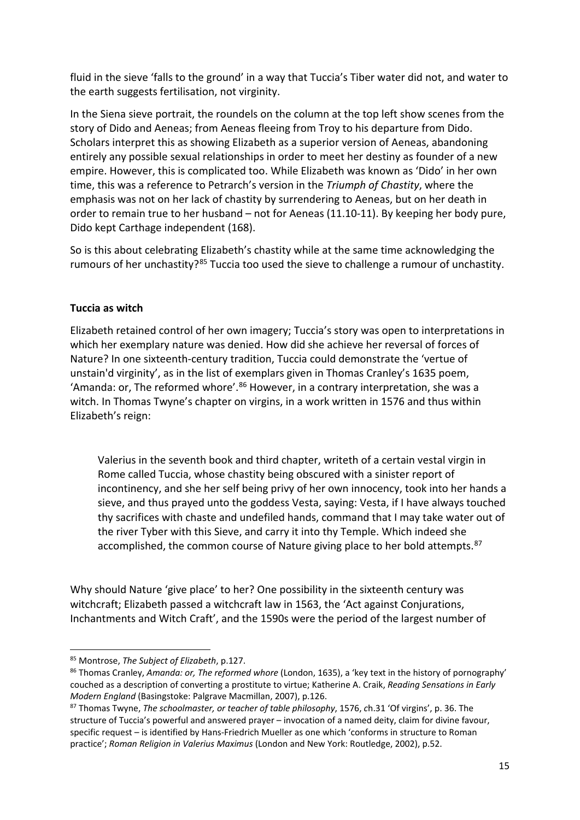fluid in the sieve 'falls to the ground' in a way that Tuccia's Tiber water did not, and water to the earth suggests fertilisation, not virginity.

In the Siena sieve portrait, the roundels on the column at the top left show scenes from the story of Dido and Aeneas; from Aeneas fleeing from Troy to his departure from Dido. Scholars interpret this as showing Elizabeth as a superior version of Aeneas, abandoning entirely any possible sexual relationships in order to meet her destiny as founder of a new empire. However, this is complicated too. While Elizabeth was known as 'Dido' in her own time, this was a reference to Petrarch's version in the *Triumph of Chastity*, where the emphasis was not on her lack of chastity by surrendering to Aeneas, but on her death in order to remain true to her husband – not for Aeneas (11.10-11). By keeping her body pure, Dido kept Carthage independent (168).

So is this about celebrating Elizabeth's chastity while at the same time acknowledging the rumours of her unchastity?<sup>[85](#page-15-0)</sup> Tuccia too used the sieve to challenge a rumour of unchastity.

#### **Tuccia as witch**

Elizabeth retained control of her own imagery; Tuccia's story was open to interpretations in which her exemplary nature was denied. How did she achieve her reversal of forces of Nature? In one sixteenth-century tradition, Tuccia could demonstrate the 'vertue of unstain'd virginity', as in the list of exemplars given in Thomas Cranley's 1635 poem, 'Amanda: or, The reformed whore'. $86$  However, in a contrary interpretation, she was a witch. In Thomas Twyne's chapter on virgins, in a work written in 1576 and thus within Elizabeth's reign:

Valerius in the seventh book and third chapter, writeth of a certain vestal virgin in Rome called Tuccia, whose chastity being obscured with a sinister report of incontinency, and she her self being privy of her own innocency, took into her hands a sieve, and thus prayed unto the goddess Vesta, saying: Vesta, if I have always touched thy sacrifices with chaste and undefiled hands, command that I may take water out of the river Tyber with this Sieve, and carry it into thy Temple. Which indeed she accomplished, the common course of Nature giving place to her bold attempts. [87](#page-15-2)

Why should Nature 'give place' to her? One possibility in the sixteenth century was witchcraft; Elizabeth passed a witchcraft law in 1563, the 'Act against Conjurations, Inchantments and Witch Craft', and the 1590s were the period of the largest number of

<span id="page-15-0"></span><sup>85</sup> Montrose, *The Subject of Elizabeth*, p.127.

<span id="page-15-1"></span><sup>86</sup> Thomas Cranley, *Amanda: or, The reformed whore* (London, 1635), a 'key text in the history of pornography' couched as a description of converting a prostitute to virtue; Katherine A. Craik, *Reading Sensations in Early Modern England* (Basingstoke: Palgrave Macmillan, 2007), p.126.

<span id="page-15-2"></span><sup>87</sup> Thomas Twyne, *The schoolmaster, or teacher of table philosophy*, 1576, *c*h.31 'Of virgins', p. 36. The structure of Tuccia's powerful and answered prayer – invocation of a named deity, claim for divine favour, specific request – is identified by Hans-Friedrich Mueller as one which 'conforms in structure to Roman practice'; *Roman Religion in Valerius Maximus* (London and New York: Routledge, 2002), p.52.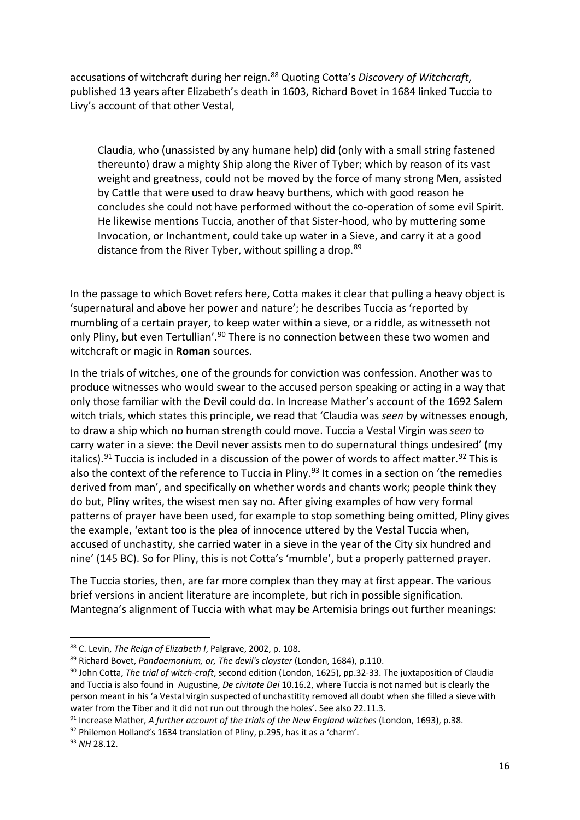accusations of witchcraft during her reign. [88](#page-16-0) Quoting Cotta's *Discovery of Witchcraft*, published 13 years after Elizabeth's death in 1603, Richard Bovet in 1684 linked Tuccia to Livy's account of that other Vestal,

Claudia, who (unassisted by any humane help) did (only with a small string fastened thereunto) draw a mighty Ship along the River of Tyber; which by reason of its vast weight and greatness, could not be moved by the force of many strong Men, assisted by Cattle that were used to draw heavy burthens, which with good reason he concludes she could not have performed without the co-operation of some evil Spirit. He likewise mentions Tuccia, another of that Sister-hood, who by muttering some Invocation, or Inchantment, could take up water in a Sieve, and carry it at a good distance from the River Tyber, without spilling a drop.<sup>[89](#page-16-1)</sup>

In the passage to which Bovet refers here, Cotta makes it clear that pulling a heavy object is 'supernatural and above her power and nature'; he describes Tuccia as 'reported by mumbling of a certain prayer, to keep water within a sieve, or a riddle, as witnesseth not only Pliny, but even Tertullian'.<sup>[90](#page-16-2)</sup> There is no connection between these two women and witchcraft or magic in **Roman** sources.

In the trials of witches, one of the grounds for conviction was confession. Another was to produce witnesses who would swear to the accused person speaking or acting in a way that only those familiar with the Devil could do. In Increase Mather's account of the 1692 Salem witch trials, which states this principle, we read that 'Claudia was *seen* by witnesses enough, to draw a ship which no human strength could move. Tuccia a Vestal Virgin was *seen* to carry water in a sieve: the Devil never assists men to do supernatural things undesired' (my italics).<sup>[91](#page-16-3)</sup> Tuccia is included in a discussion of the power of words to affect matter.<sup>[92](#page-16-4)</sup> This is also the context of the reference to Tuccia in Pliny. $93$  It comes in a section on 'the remedies derived from man', and specifically on whether words and chants work; people think they do but, Pliny writes, the wisest men say no. After giving examples of how very formal patterns of prayer have been used, for example to stop something being omitted, Pliny gives the example, 'extant too is the plea of innocence uttered by the Vestal Tuccia when, accused of unchastity, she carried water in a sieve in the year of the City six hundred and nine' (145 BC). So for Pliny, this is not Cotta's 'mumble', but a properly patterned prayer.

The Tuccia stories, then, are far more complex than they may at first appear. The various brief versions in ancient literature are incomplete, but rich in possible signification. Mantegna's alignment of Tuccia with what may be Artemisia brings out further meanings:

<span id="page-16-1"></span><sup>89</sup> Richard Bovet, *Pandaemonium, or, The devil's cloyster* (London, 1684), p.110.

<span id="page-16-4"></span>92 Philemon Holland's 1634 translation of Pliny, p.295, has it as a 'charm'.

<span id="page-16-0"></span><sup>88</sup> C. Levin, *The Reign of Elizabeth I*, Palgrave, 2002, p. 108.

<span id="page-16-2"></span><sup>90</sup> John Cotta, *The trial of witch-craft*, second edition (London, 1625), pp.32-33. The juxtaposition of Claudia and Tuccia is also found in Augustine, *De civitate Dei* 10.16.2, where Tuccia is not named but is clearly the person meant in his 'a Vestal virgin suspected of unchastitity removed all doubt when she filled a sieve with water from the Tiber and it did not run out through the holes'. See also 22.11.3.

<span id="page-16-3"></span><sup>91</sup> Increase Mather, *A further account of the trials of the New England witches* (London, 1693), p.38.

<span id="page-16-5"></span><sup>93</sup> *NH* 28.12.